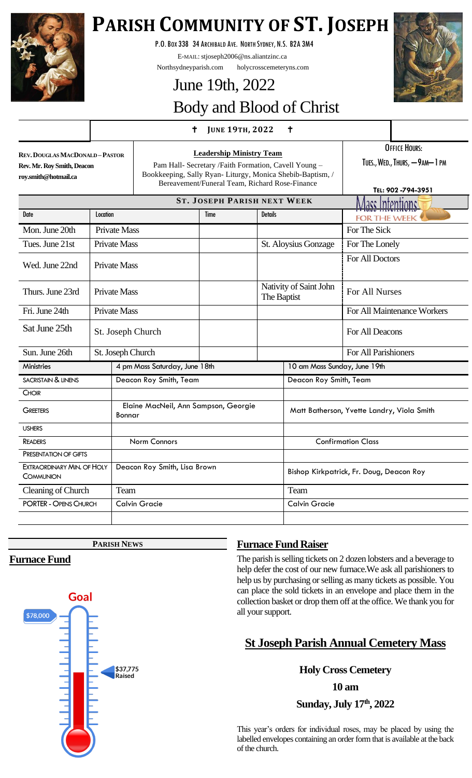

# **PARISH COMMUNITY OF ST. JOSEPH**

P.O.BOX 338 34 ARCHIBALD AVE. NORTH SYDNEY, N.S. B2A 3M4

E-MAIL: stjoseph2006@ns.aliantzinc.ca

Northsydneyparish.com holycrosscemeteryns.com

# June 19th, 2022 Body and Blood of Christ

# **<sup>J</sup>UNE 19TH, <sup>2022</sup>**

**REV.DOUGLAS MACDONALD –PASTOR Rev. Mr. Roy Smith, Deacon roy.smith@hotmail.ca**

**Leadership Ministry Team** Pam Hall- Secretary /Faith Formation, Cavell Young – Bookkeeping, Sally Ryan- Liturgy, Monica Shebib-Baptism, / Bereavement/Funeral Team, Richard Rose-Finance

OFFICE HOURS:

TUES., WED., THURS, - 9AM-1 PM

|                                                |                     |                                                |      |                                       |                                            | TEL: 902-794-3951           |
|------------------------------------------------|---------------------|------------------------------------------------|------|---------------------------------------|--------------------------------------------|-----------------------------|
|                                                |                     | <b>ST. JOSEPH PARISH NEXT WEEK</b>             |      |                                       | <u> Mass Intentionss</u>                   |                             |
| Date                                           | Location            |                                                | Time | <b>Details</b>                        |                                            | <b>FOR THE WEEK</b>         |
| Mon. June 20th                                 | <b>Private Mass</b> |                                                |      |                                       |                                            | For The Sick                |
| Tues. June 21st                                |                     | <b>Private Mass</b>                            |      | St. Aloysius Gonzage                  |                                            | For The Lonely              |
| Wed. June 22nd                                 | <b>Private Mass</b> |                                                |      |                                       |                                            | For All Doctors             |
| Thurs. June 23rd                               | <b>Private Mass</b> |                                                |      | Nativity of Saint John<br>The Baptist |                                            | For All Nurses              |
| Fri. June 24th                                 |                     | <b>Private Mass</b>                            |      |                                       |                                            | For All Maintenance Workers |
| Sat June 25th                                  |                     | St. Joseph Church                              |      |                                       |                                            | For All Deacons             |
| Sun. June 26th                                 |                     | St. Joseph Church                              |      |                                       |                                            | For All Parishioners        |
| <b>Ministries</b>                              |                     | 4 pm Mass Saturday, June 18th                  |      | 10 am Mass Sunday, June 19th          |                                            |                             |
| <b>SACRISTAIN &amp; LINENS</b>                 |                     | Deacon Roy Smith, Team                         |      | Deacon Roy Smith, Team                |                                            |                             |
| <b>CHOIR</b>                                   |                     |                                                |      |                                       |                                            |                             |
| <b>GREETERS</b>                                |                     | Elaine MacNeil, Ann Sampson, Georgie<br>Bonnar |      |                                       | Matt Batherson, Yvette Landry, Viola Smith |                             |
| <b>USHERS</b>                                  |                     |                                                |      |                                       |                                            |                             |
| <b>READERS</b>                                 |                     | Norm Connors                                   |      |                                       | <b>Confirmation Class</b>                  |                             |
| PRESENTATION OF GIFTS                          |                     |                                                |      |                                       |                                            |                             |
| <b>EXTRAORDINARY MIN. OF HOLY</b><br>COMMUNION |                     | Deacon Roy Smith, Lisa Brown                   |      |                                       | Bishop Kirkpatrick, Fr. Doug, Deacon Roy   |                             |
| Cleaning of Church                             |                     | Team                                           |      |                                       | Team                                       |                             |
| <b>PORTER - OPENS CHURCH</b>                   |                     | <b>Calvin Gracie</b>                           |      |                                       | <b>Calvin Gracie</b>                       |                             |
|                                                |                     |                                                |      |                                       |                                            |                             |

**PARISH NEWS**

# **Furnace Fund**



# **Furnace Fund Raiser**

The parish is selling tickets on 2 dozen lobsters and a beverage to help defer the cost of our new furnace.We ask all parishioners to help us by purchasing or selling as many tickets as possible. You can place the sold tickets in an envelope and place them in the collection basket or drop them off at the office. We thank you for all your support.

# **St Joseph Parish Annual Cemetery Mass**

**Holy Cross Cemetery**

**10 am**

**Sunday, July 17th, 2022**

This year's orders for individual roses, may be placed by using the labelled envelopes containing an order form that is available at the back of the church.